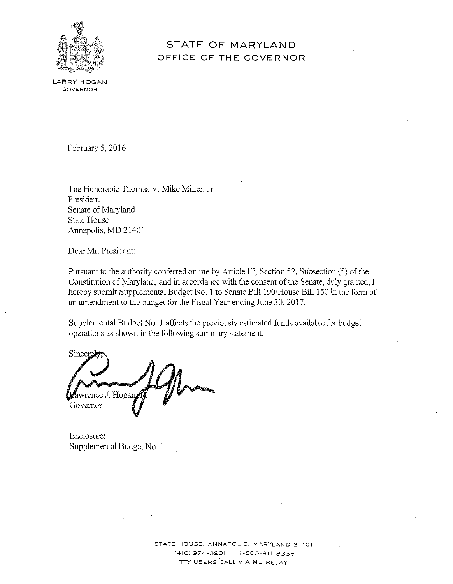

# **STATE OF MARYLAND OFFICE OF THE GOVERNOR**

LARRY HOGAN **GOVERNOR** 

February 5, 2016

The Honorable Thomas V. Mike Miller, Jr. President Senate of Maryland State House Annapolis, MD 21401

Dear Mr. President:

Pursuant to the authority conferred on me by Article III, Section 52, Subsection (5) of the Constitution of Maryland, and in accordance with the consent of the Senate, duly granted, I hereby submit Supplemental Budget No. 1 to Senate Bill 190/House Bill 150 in the form of an amendment to the budget for the Fiscal Year ending June 30, 2017.

Supplemental Budget No. 1 affects the previously estimated funds available for budget operations as shown in the following summary statement.

Sincer wrence **J.** Hog Governor

Enclosure: Supplemental Budget No. 1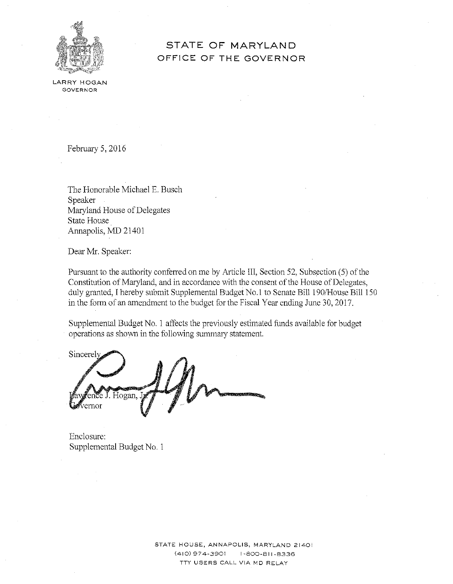

## **STATE OF MARYLAND OFFICE OF THE GOVERNOR**

LARRY HOGAN GOVERNOR

February 5, 2016

The Honorable Michael E. Busch Speaker Maryland House of Delegates State House Annapolis, MD 21401

Dear Mr. Speaker:

Pursuant to the authority conferred on me by Article III, Section 52, Subsection (5) of the Constitution of Maryland, and in accordance with the consent of the House of Delegates, duly granted, I hereby submit Supplemental Budget No.! to Senate Bill 190/House Bill 150 in the form of an amendment to the budget forthe Fiscal Year ending June 30, 2017.

Supplemental Budget No. 1 affects the previously estimated funds available for budget operations as shown in the following summary statement.

Sincerel Hogan,

Enclosure: Supplemental Budget No. 1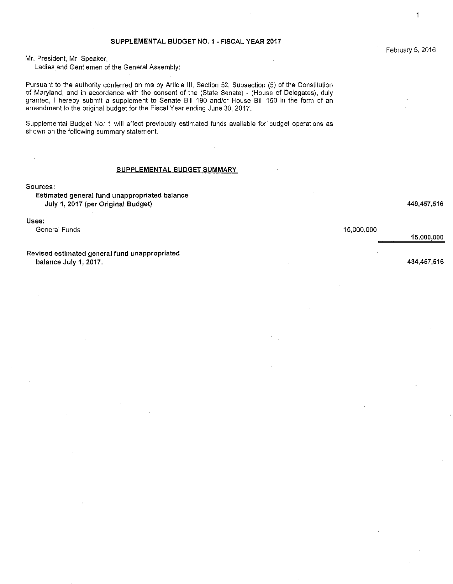#### SUPPLEMENTAL BUDGET NO. 1 - FISCAL YEAR 2017

Ladies and Gentlemen of the General Assembly:

Pursuant to the authority conferred on me by Article Ill, Section 52, Subsection (5) of the Constitution of Maryland, and in accordance with the consent of the (State Senate) - (House of Delegates), duly granted, I hereby submit a supplement to Senate Bill 190 and/or House Bill 150 in the form of an amendment to the original budget for the Fiscal Year ending June 30, 2017.

Supplemental Budget No. 1 will affect previously estimated funds available for budget operations as shown on the following summary statement.

#### SUPPLEMENTAL BUDGET SUMMARY

**Sources:** 

#### Estimated general fund unappropriated balance July 1, 2017 (per Original Budget) 449,457 ,516

Uses:

General Funds 15,000,000

Revised estimated general fund unappropriated balance July 1, 2017. 434,457,516

1

15,000,000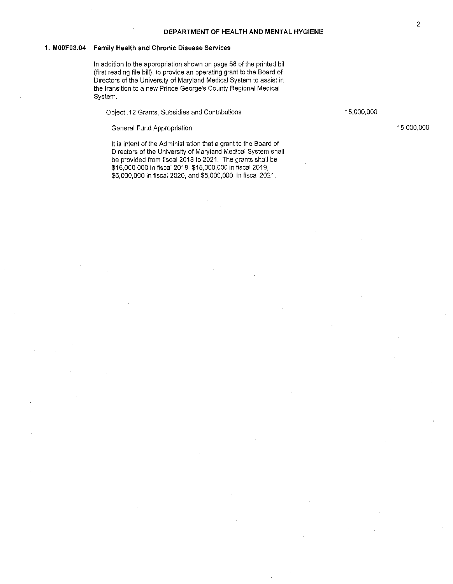#### **1. MOOF03.04 Family Health and Chronic Disease Services**

In addition to the appropriation shown on page 58 of the printed bill (first reading file bill), to provide an operating grant to the Board of Directors of the University of Maryland Medical System to assist in the transition to a new Prince George's County Regional Medical System.

Object .12 Grants, Subsidies and Contributions 15,000,000 15,000,000

General Fund Appropriation 15,000,000 and 15,000,000 and 15,000,000 and 15,000,000

It is intent of the Administration that a grant to the Board of Directors of the University of Maryland Medical System shall be provided from fiscal 2018 to 2021. The grants shall be \$15,000,000 in fiscal 2018, \$15,000,000 in fiscal 2019, \$5,000,000 in fiscal 2020, and \$5,000,000 in fiscal 2021.